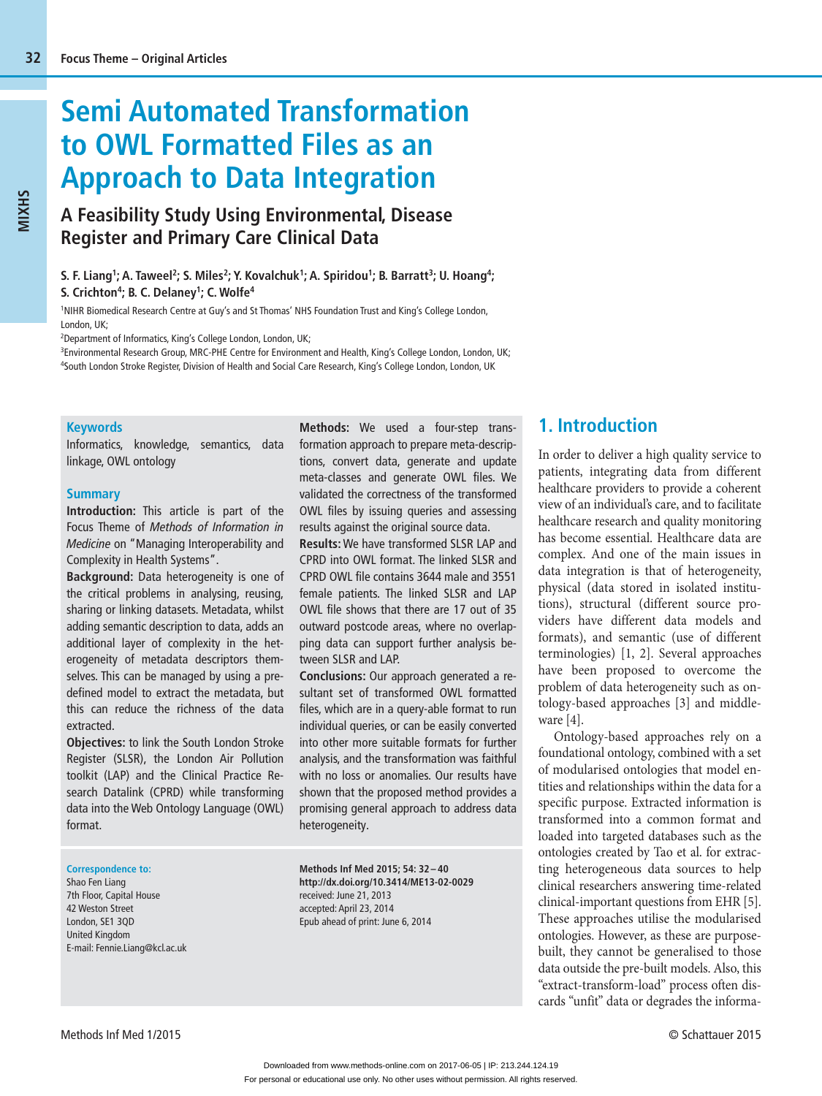# **Semi Automated Transformation to OWL Formatted Files as an Approach to Data Integration**

# **A Feasibility Study Using Environmental, Disease Register and Primary Care Clinical Data**

S. F. Liang<sup>1</sup>; A. Taweel<sup>2</sup>; S. Miles<sup>2</sup>; Y. Kovalchuk<sup>1</sup>; A. Spiridou<sup>1</sup>; B. Barratt<sup>3</sup>; U. Hoang<sup>4</sup>; **S. Crichton4; B. C. Delaney1; C. Wolfe4**

1 NIHR Biomedical Research Centre at Guy's and St Thomas' NHS Foundation Trust and King's College London, London, UK;

2 Department of Informatics, King's College London, London, UK;

3 Environmental Research Group, MRC-PHE Centre for Environment and Health, King's College London, London, UK; 4 South London Stroke Register, Division of Health and Social Care Research, King's College London, London, UK

#### **Keywords**

Informatics, knowledge, semantics, data linkage, OWL ontology

#### **Summary**

**Introduction:** This article is part of the Focus Theme of *Methods of Information in Medicine* on "Managing Interoperability and Complexity in Health Systems".

**Background:** Data heterogeneity is one of the critical problems in analysing, reusing, sharing or linking datasets. Metadata, whilst adding semantic description to data, adds an additional layer of complexity in the heterogeneity of metadata descriptors themselves. This can be managed by using a predefined model to extract the metadata, but this can reduce the richness of the data extracted.

**Objectives:** to link the South London Stroke Register (SLSR), the London Air Pollution toolkit (LAP) and the Clinical Practice Research Datalink (CPRD) while transforming data into the Web Ontology Language (OWL) format.

#### **Correspondence to:**

Shao Fen Liang 7th Floor, Capital House 42 Weston Street London, SE1 3QD United Kingdom E-mail: Fennie.Liang@kcl.ac.uk **Methods:** We used a four-step transformation approach to prepare meta-descriptions, convert data, generate and update meta-classes and generate OWL files. We validated the correctness of the transformed OWL files by issuing queries and assessing results against the original source data.

**Results:** We have transformed SLSR LAP and CPRD into OWL format. The linked SLSR and CPRD OWL file contains 3644 male and 3551 female patients. The linked SLSR and LAP OWL file shows that there are 17 out of 35 outward postcode areas, where no overlapping data can support further analysis between SLSR and LAP.

**Conclusions:** Our approach generated a resultant set of transformed OWL formatted files, which are in a query-able format to run individual queries, or can be easily converted into other more suitable formats for further analysis, and the transformation was faithful with no loss or anomalies. Our results have shown that the proposed method provides a promising general approach to address data heterogeneity.

**Methods Inf Med 2015; 54: 32 – 40 http://dx.doi.org/10.3414/ME13-02-0029** received: June 21, 2013 accepted: April 23, 2014 Epub ahead of print: June 6, 2014

# **1. Introduction**

In order to deliver a high quality service to patients, integrating data from different healthcare providers to provide a coherent view of an individual's care, and to facilitate healthcare research and quality monitoring has become essential. Healthcare data are complex. And one of the main issues in data integration is that of heterogeneity, physical (data stored in isolated institutions), structural (different source providers have different data models and formats), and semantic (use of different terminologies) [1, 2]. Several approaches have been proposed to overcome the problem of data heterogeneity such as ontology-based approaches [3] and middleware [4].

Ontology-based approaches rely on a foundational ontology, combined with a set of modularised ontologies that model entities and relationships within the data for a specific purpose. Extracted information is transformed into a common format and loaded into targeted databases such as the ontologies created by Tao et al. for extracting heterogeneous data sources to help clinical researchers answering time-related clinical-important questions from EHR [5]. These approaches utilise the modularised ontologies. However, as these are purposebuilt, they cannot be generalised to those data outside the pre-built models. Also, this "extract-transform-load" process often discards "unfit" data or degrades the informa-

**MIXHS**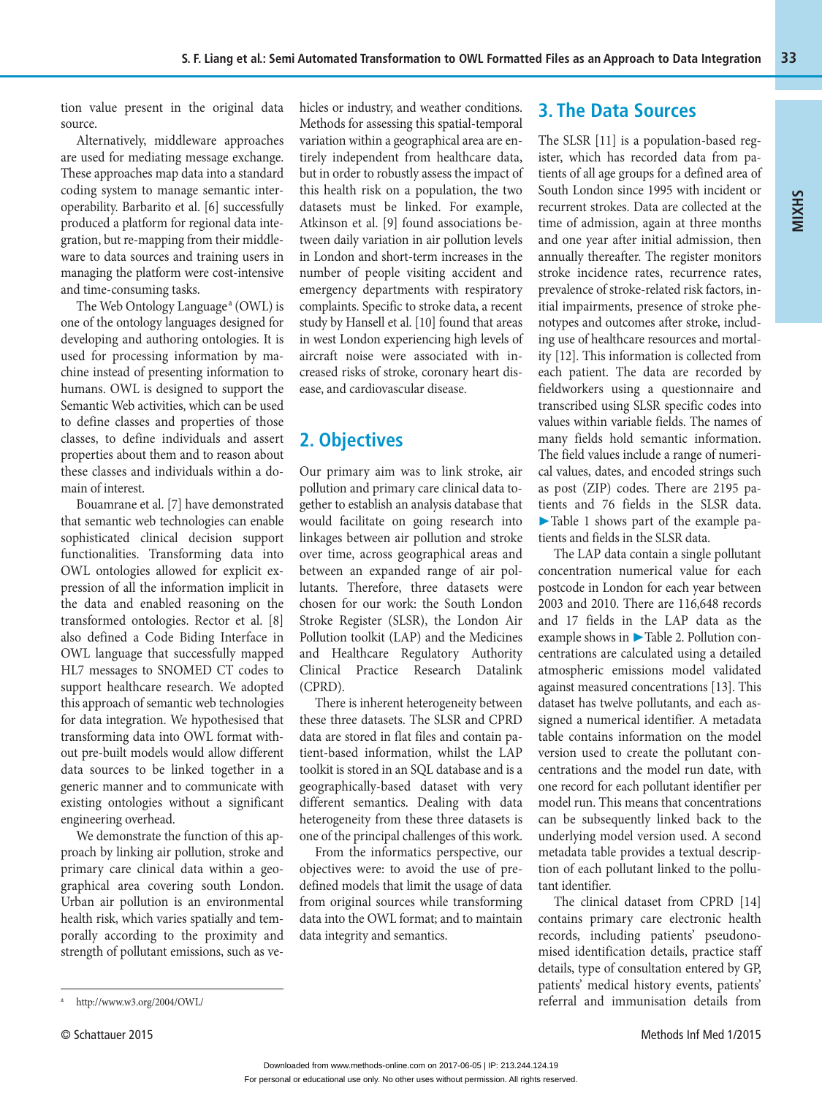tion value present in the original data source.

Alternatively, middleware approaches are used for mediating message exchange. These approaches map data into a standard coding system to manage semantic interoperability. Barbarito et al. [6] successfully produced a platform for regional data integration, but re-mapping from their middleware to data sources and training users in managing the platform were cost-intensive and time-consuming tasks.

The Web Ontology Language<sup>a</sup> (OWL) is one of the ontology languages designed for developing and authoring ontologies. It is used for processing information by machine instead of presenting information to humans. OWL is designed to support the Semantic Web activities, which can be used to define classes and properties of those classes, to define individuals and assert properties about them and to reason about these classes and individuals within a domain of interest.

Bouamrane et al. [7] have demonstrated that semantic web technologies can enable sophisticated clinical decision support functionalities. Transforming data into OWL ontologies allowed for explicit expression of all the information implicit in the data and enabled reasoning on the transformed ontologies. Rector et al. [8] also defined a Code Biding Interface in OWL language that successfully mapped HL7 messages to SNOMED CT codes to support healthcare research. We adopted this approach of semantic web technologies for data integration. We hypothesised that transforming data into OWL format without pre-built models would allow different data sources to be linked together in a generic manner and to communicate with existing ontologies without a significant engineering overhead.

We demonstrate the function of this approach by linking air pollution, stroke and primary care clinical data within a geographical area covering south London. Urban air pollution is an environmental health risk, which varies spatially and temporally according to the proximity and strength of pollutant emissions, such as vehicles or industry, and weather conditions. Methods for assessing this spatial-temporal variation within a geographical area are entirely independent from healthcare data, but in order to robustly assess the impact of this health risk on a population, the two datasets must be linked. For example, Atkinson et al. [9] found associations between daily variation in air pollution levels in London and short-term increases in the number of people visiting accident and emergency departments with respiratory complaints. Specific to stroke data, a recent study by Hansell et al. [10] found that areas in west London experiencing high levels of aircraft noise were associated with increased risks of stroke, coronary heart disease, and cardiovascular disease.

# **2. Objectives**

Our primary aim was to link stroke, air pollution and primary care clinical data together to establish an analysis database that would facilitate on going research into linkages between air pollution and stroke over time, across geographical areas and between an expanded range of air pollutants. Therefore, three datasets were chosen for our work: the South London Stroke Register (SLSR), the London Air Pollution toolkit (LAP) and the Medicines and Healthcare Regulatory Authority Clinical Practice Research Datalink (CPRD).

There is inherent heterogeneity between these three datasets. The SLSR and CPRD data are stored in flat files and contain patient-based information, whilst the LAP toolkit is stored in an SQL database and is a geographically-based dataset with very different semantics. Dealing with data heterogeneity from these three datasets is one of the principal challenges of this work.

From the informatics perspective, our objectives were: to avoid the use of pre defined models that limit the usage of data from original sources while transforming data into the OWL format; and to maintain data integrity and semantics.

# **3. The Data Sources**

The SLSR [11] is a population-based register, which has recorded data from patients of all age groups for a defined area of South London since 1995 with incident or recurrent strokes. Data are collected at the time of admission, again at three months and one year after initial admission, then annually thereafter. The register monitors stroke incidence rates, recurrence rates, prevalence of stroke-related risk factors, initial impairments, presence of stroke phenotypes and outcomes after stroke, including use of healthcare resources and mortality [12]. This information is collected from each patient. The data are recorded by fieldworkers using a questionnaire and transcribed using SLSR specific codes into values within variable fields. The names of many fields hold semantic information. The field values include a range of numerical values, dates, and encoded strings such as post (ZIP) codes. There are 2195 patients and 76 fields in the SLSR data. ▶ Table 1 shows part of the example patients and fields in the SLSR data.

The LAP data contain a single pollutant concentration numerical value for each postcode in London for each year between 2003 and 2010. There are 116,648 records and 17 fields in the LAP data as the example shows in ▶ Table 2. Pollution concentrations are calculated using a detailed atmospheric emissions model validated against measured concentrations [13]. This dataset has twelve pollutants, and each assigned a numerical identifier. A metadata table contains information on the model version used to create the pollutant concentrations and the model run date, with one record for each pollutant identifier per model run. This means that concentrations can be subsequently linked back to the underlying model version used. A second metadata table provides a textual description of each pollutant linked to the pollutant identifier.

The clinical dataset from CPRD [14] contains primary care electronic health records, including patients' pseudonomised identification details, practice staff details, type of consultation entered by GP, patients' medical history events, patients' referral and immunisation details from

a

**MIXHS**

http://www.w3.org/2004/OWL/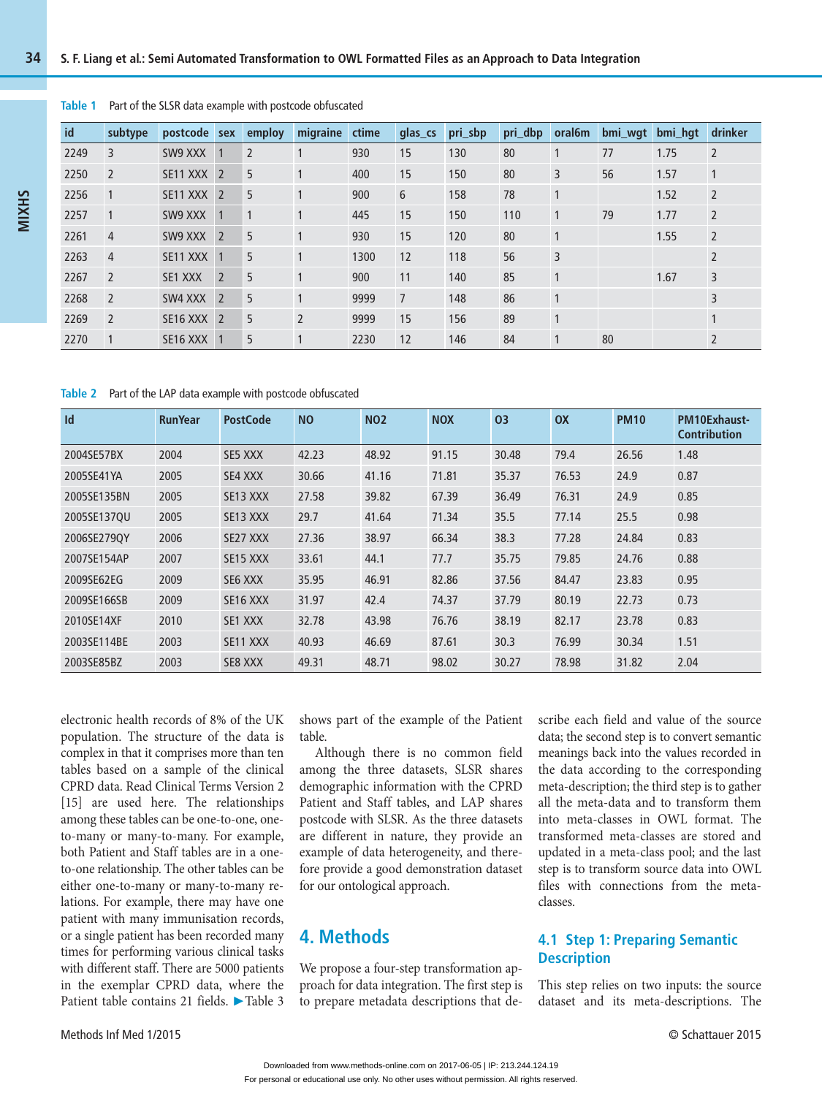#### **Table 1** Part of the SLSR data example with postcode obfuscated

| id   | subtype        | postcode sex |                | employ         | migraine       | ctime | glas cs        | pri_sbp | pri_dbp | oral6m         | bmi_wgt | bmi hqt | drinker        |
|------|----------------|--------------|----------------|----------------|----------------|-------|----------------|---------|---------|----------------|---------|---------|----------------|
| 2249 | 3              | SW9 XXX      |                | $\overline{2}$ |                | 930   | 15             | 130     | 80      |                | 77      | 1.75    | $\overline{2}$ |
| 2250 | 2              | SE11 XXX     | $\overline{2}$ | 5              | $\mathbf{1}$   | 400   | 15             | 150     | 80      | 3              | 56      | 1.57    | $\vert$ 1      |
| 2256 |                | SE11 XXX     | $\overline{2}$ | 5              |                | 900   | 6              | 158     | 78      |                |         | 1.52    | $\overline{2}$ |
| 2257 | $\overline{1}$ | SW9 XXX      | $\overline{1}$ | $\mathbf{1}$   | $\mathbf{1}$   | 445   | 15             | 150     | 110     | 1              | 79      | 1.77    | $\overline{2}$ |
| 2261 | $\overline{4}$ | SW9 XXX      | $\overline{2}$ | 5              | $\mathbf{1}$   | 930   | 15             | 120     | 80      | $\mathbf{1}$   |         | 1.55    | $\overline{2}$ |
| 2263 | $\overline{4}$ | SE11 XXX     | -1             | 5              | $\mathbf{1}$   | 1300  | 12             | 118     | 56      | $\overline{3}$ |         |         | $\overline{2}$ |
| 2267 | 2              | SE1 XXX      | $\overline{2}$ | 5              | $\mathbf{1}$   | 900   | 11             | 140     | 85      |                |         | 1.67    | $\overline{3}$ |
| 2268 | $\overline{2}$ | SW4 XXX      | $\overline{2}$ | 5              | $\mathbf{1}$   | 9999  | $\overline{7}$ | 148     | 86      |                |         |         | 3              |
| 2269 | $\overline{2}$ | SE16 XXX     | $\overline{z}$ | 5              | $\overline{2}$ | 9999  | 15             | 156     | 89      |                |         |         |                |
| 2270 |                | SE16 XXX     |                | 5              | 1              | 2230  | 12             | 146     | 84      | 1              | 80      |         | $\overline{2}$ |

#### **Table 2** Part of the LAP data example with postcode obfuscated

| Id          | <b>RunYear</b> | <b>PostCode</b>      | <b>NO</b> | <b>NO2</b> | <b>NOX</b> | 03    | $\mathsf{OX}$ | <b>PM10</b> | PM10Exhaust-<br><b>Contribution</b> |
|-------------|----------------|----------------------|-----------|------------|------------|-------|---------------|-------------|-------------------------------------|
| 2004SE57BX  | 2004           | SE5 XXX              | 42.23     | 48.92      | 91.15      | 30.48 | 79.4          | 26.56       | 1.48                                |
| 2005SE41YA  | 2005           | SE4 XXX              | 30.66     | 41.16      | 71.81      | 35.37 | 76.53         | 24.9        | 0.87                                |
| 2005SE135BN | 2005           | SE13 XXX             | 27.58     | 39.82      | 67.39      | 36.49 | 76.31         | 24.9        | 0.85                                |
| 2005SE137OU | 2005           | SE13 XXX             | 29.7      | 41.64      | 71.34      | 35.5  | 77.14         | 25.5        | 0.98                                |
| 2006SE279OY | 2006           | SE27 XXX             | 27.36     | 38.97      | 66.34      | 38.3  | 77.28         | 24.84       | 0.83                                |
| 2007SE154AP | 2007           | SE15 XXX             | 33.61     | 44.1       | 77.7       | 35.75 | 79.85         | 24.76       | 0.88                                |
| 2009SE62EG  | 2009           | SE6 XXX              | 35.95     | 46.91      | 82.86      | 37.56 | 84.47         | 23.83       | 0.95                                |
| 2009SE166SB | 2009           | SE <sub>16</sub> XXX | 31.97     | 42.4       | 74.37      | 37.79 | 80.19         | 22.73       | 0.73                                |
| 2010SE14XF  | 2010           | SE1 XXX              | 32.78     | 43.98      | 76.76      | 38.19 | 82.17         | 23.78       | 0.83                                |
| 2003SE114BE | 2003           | SE11 XXX             | 40.93     | 46.69      | 87.61      | 30.3  | 76.99         | 30.34       | 1.51                                |
| 2003SE85BZ  | 2003           | SE8 XXX              | 49.31     | 48.71      | 98.02      | 30.27 | 78.98         | 31.82       | 2.04                                |

electronic health records of 8% of the UK population. The structure of the data is complex in that it comprises more than ten tables based on a sample of the clinical CPRD data. Read Clinical Terms Version 2 [15] are used here. The relationships among these tables can be one-to-one, oneto-many or many-to-many. For example, both Patient and Staff tables are in a oneto-one relationship. The other tables can be either one-to-many or many-to-many relations. For example, there may have one patient with many immunisation records, or a single patient has been recorded many times for performing various clinical tasks with different staff. There are 5000 patients in the exemplar CPRD data, where the Patient table contains 21 fields. ▶ Table 3

shows part of the example of the Patient table.

Although there is no common field among the three datasets, SLSR shares demographic information with the CPRD Patient and Staff tables, and LAP shares postcode with SLSR. As the three datasets are different in nature, they provide an example of data heterogeneity, and therefore provide a good demonstration dataset for our ontological approach.

# **4. Methods**

We propose a four-step transformation approach for data integration. The first step is to prepare metadata descriptions that describe each field and value of the source data; the second step is to convert semantic meanings back into the values recorded in the data according to the corresponding meta-description; the third step is to gather all the meta-data and to transform them into meta-classes in OWL format. The transformed meta-classes are stored and updated in a meta-class pool; and the last step is to transform source data into OWL files with connections from the metaclasses.

### **4.1 Step 1: Preparing Semantic Description**

This step relies on two inputs: the source dataset and its meta-descriptions. The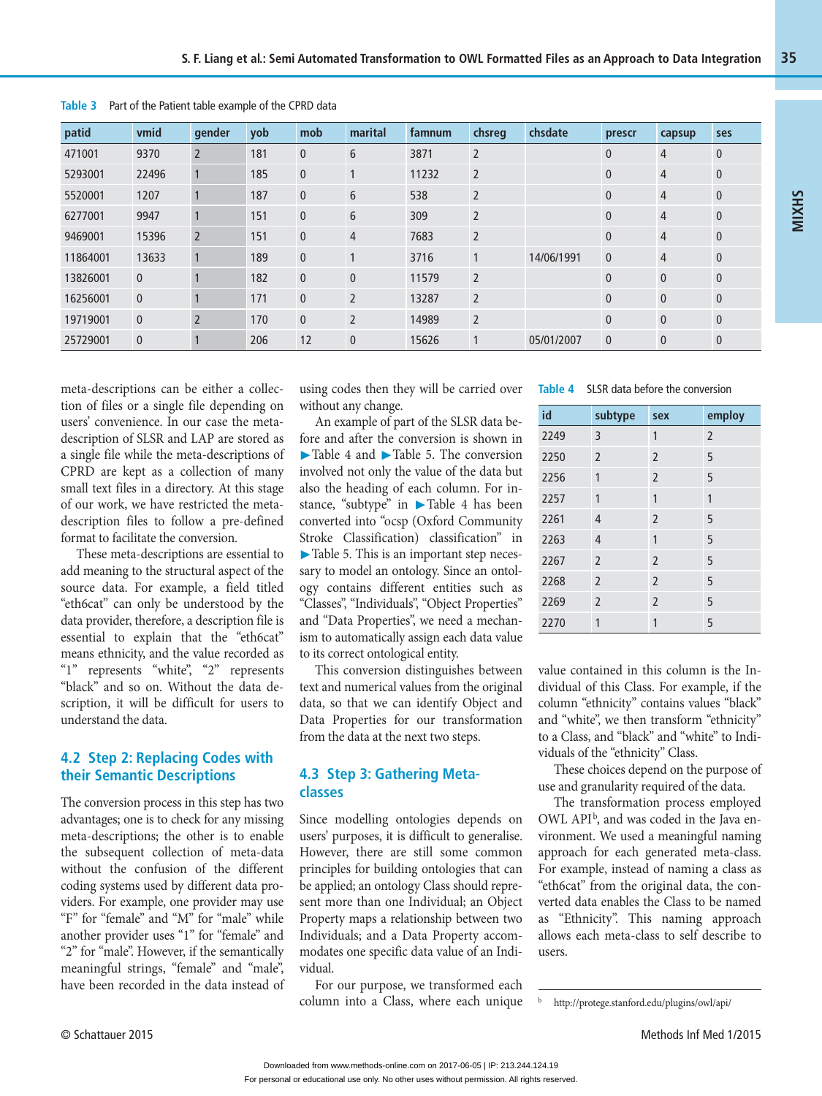| patid    | vmid             | gender         | yob | mob          | marital        | famnum | chsreg         | chsdate    | prescr         | capsup         | ses            |
|----------|------------------|----------------|-----|--------------|----------------|--------|----------------|------------|----------------|----------------|----------------|
| 471001   | 9370             | $\overline{2}$ | 181 | $\mathbf{0}$ | 6              | 3871   | $\overline{2}$ |            | $\mathbf{0}$   | $\overline{4}$ | $\mathbf{0}$   |
| 5293001  | 22496            |                | 185 | $\mathbf{0}$ |                | 11232  | $\overline{2}$ |            | $\mathbf{0}$   | $\overline{4}$ | $\mathbf{0}$   |
| 5520001  | 1207             |                | 187 | $\mathbf{0}$ | 6              | 538    | $\overline{2}$ |            | $\mathbf{0}$   | $\overline{4}$ | $\mathbf{0}$   |
| 6277001  | 9947             |                | 151 | $\mathbf{0}$ | 6              | 309    | $\overline{2}$ |            | $\overline{0}$ | $\overline{4}$ | $\mathbf{0}$   |
| 9469001  | 15396            | $\overline{2}$ | 151 | $\mathbf{0}$ | $\overline{4}$ | 7683   | $\overline{2}$ |            | $\overline{0}$ | $\overline{4}$ | $\mathbf{0}$   |
| 11864001 | 13633            |                | 189 | $\mathbf{0}$ |                | 3716   | $\mathbf{1}$   | 14/06/1991 | $\overline{0}$ | $\overline{4}$ | $\mathbf{0}$   |
| 13826001 | $\overline{0}$   |                | 182 | $\mathbf{0}$ | $\mathbf{0}$   | 11579  | $\overline{2}$ |            | $\mathbf{0}$   | $\mathbf{0}$   | $\mathbf{0}$   |
| 16256001 | $\mathbf{0}$     |                | 171 | $\mathbf{0}$ | $\overline{2}$ | 13287  | $\overline{2}$ |            | $\mathbf{0}$   | $\mathbf{0}$   | $\mathbf{0}$   |
| 19719001 | $\overline{0}$   | $\overline{2}$ | 170 | $\mathbf{0}$ | $\overline{2}$ | 14989  | $\overline{2}$ |            | $\mathbf{0}$   | $\mathbf{0}$   | $\mathbf{0}$   |
| 25729001 | $\boldsymbol{0}$ |                | 206 | 12           | $\overline{0}$ | 15626  | $\mathbf{1}$   | 05/01/2007 | $\overline{0}$ | $\mathbf{0}$   | $\overline{0}$ |

**Table 3** Part of the Patient table example of the CPRD data

meta-descriptions can be either a collection of files or a single file depending on users' convenience. In our case the metadescription of SLSR and LAP are stored as a single file while the meta-descriptions of CPRD are kept as a collection of many small text files in a directory. At this stage of our work, we have restricted the metadescription files to follow a pre-defined format to facilitate the conversion.

These meta-descriptions are essential to add meaning to the structural aspect of the source data. For example, a field titled "eth6cat" can only be understood by the data provider, therefore, a description file is essential to explain that the "eth6cat" means ethnicity, and the value recorded as "1" represents "white", "2" represents "black" and so on. Without the data description, it will be difficult for users to understand the data.

#### **4.2 Step 2: Replacing Codes with their Semantic Descriptions**

The conversion process in this step has two advantages; one is to check for any missing meta-descriptions; the other is to enable the subsequent collection of meta-data without the confusion of the different coding systems used by different data providers. For example, one provider may use "F" for "female" and "M" for "male" while another provider uses "1" for "female" and "2" for "male". However, if the semantically meaningful strings, "female" and "male", have been recorded in the data instead of

using codes then they will be carried over **Table 4** SLSR data before the conversion without any change.

An example of part of the SLSR data before and after the conversion is shown in ▶ Table 4 and ▶ Table 5. The conversion involved not only the value of the data but also the heading of each column. For instance, "subtype" in ▶ Table 4 has been converted into "ocsp (Oxford Community Stroke Classification) classification" in ▶ Table 5. This is an important step necessary to model an ontology. Since an ontology contains different entities such as "Classes", "Individuals", "Object Properties" and "Data Properties", we need a mechanism to automatically assign each data value to its correct ontological entity.

This conversion distinguishes between text and numerical values from the original data, so that we can identify Object and Data Properties for our transformation from the data at the next two steps.

#### **4.3 Step 3: Gathering Metaclasses**

Since modelling ontologies depends on users' purposes, it is difficult to generalise. However, there are still some common principles for building ontologies that can be applied; an ontology Class should represent more than one Individual; an Object Property maps a relationship between two Individuals; and a Data Property accommodates one specific data value of an Individual.

For our purpose, we transformed each column into a Class, where each unique

| id   | subtype        | sex            | employ         |
|------|----------------|----------------|----------------|
| 2249 | 3              | 1              | $\overline{2}$ |
| 2250 | $\overline{2}$ | $\overline{2}$ | 5              |
| 2256 | 1              | $\overline{2}$ | 5              |
| 2257 | 1              | 1              | 1              |
| 2261 | $\overline{4}$ | $\overline{2}$ | 5              |
| 2263 | $\overline{4}$ | 1              | 5              |
| 2267 | $\overline{2}$ | $\overline{2}$ | 5              |
| 2268 | $\overline{2}$ | $\overline{2}$ | 5              |
| 2269 | $\overline{2}$ | $\overline{2}$ | 5              |
| 2270 | 1              | 1              | 5              |

value contained in this column is the Individual of this Class. For example, if the column "ethnicity" contains values "black" and "white", we then transform "ethnicity" to a Class, and "black" and "white" to Individuals of the "ethnicity" Class.

These choices depend on the purpose of use and granularity required of the data.

The transformation process employed OWL API<sup>b</sup>, and was coded in the Java environment. We used a meaningful naming approach for each generated meta-class. For example, instead of naming a class as "eth6cat" from the original data, the converted data enables the Class to be named as "Ethnicity". This naming approach allows each meta-class to self describe to users.

 $\mathbf b$ 

**MIXHS**

http://protege.stanford.edu/plugins/owl/api/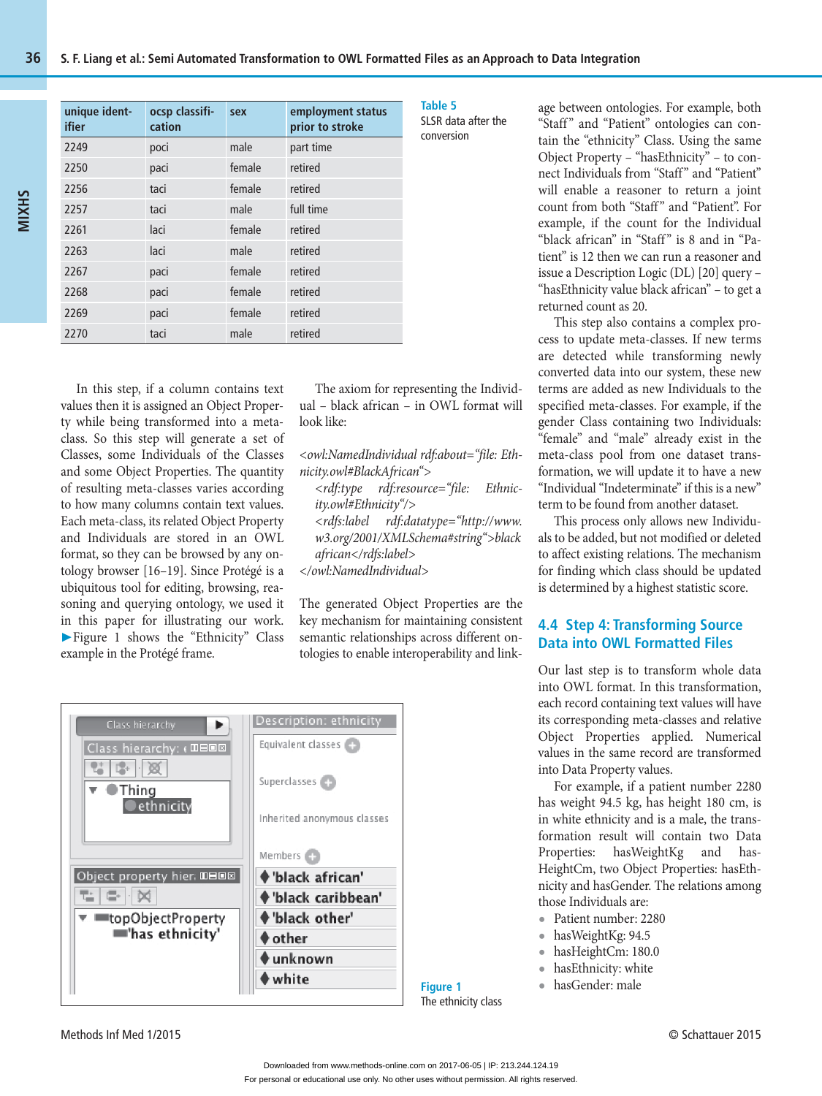| unique ident-<br>ifier | ocsp classifi-<br>cation | sex    | employment status<br>prior to stroke |
|------------------------|--------------------------|--------|--------------------------------------|
| 2249                   | poci                     | male   | part time                            |
| 2250                   | paci                     | female | retired                              |
| 2256                   | taci                     | female | retired                              |
| 2257                   | taci                     | male   | full time                            |
| 2261                   | laci                     | female | retired                              |
| 2263                   | laci                     | male   | retired                              |
| 2267                   | paci                     | female | retired                              |
| 2268                   | paci                     | female | retired                              |
| 2269                   | paci                     | female | retired                              |
| 2270                   | taci                     | male   | retired                              |

In this step, if a column contains text values then it is assigned an Object Property while being transformed into a metaclass. So this step will generate a set of Classes, some Individuals of the Classes and some Object Properties. The quantity of resulting meta-classes varies according to how many columns contain text values. Each meta-class, its related Object Property and Individuals are stored in an OWL format, so they can be browsed by any ontology browser [16–19]. Since Protégé is a ubiquitous tool for editing, browsing, reasoning and querying ontology, we used it in this paper for illustrating our work. ▶ Figure 1 shows the "Ethnicity" Class example in the Protégé frame.

The axiom for representing the Individual – black african – in OWL format will look like:

*<owl:NamedIndividual rdf:about="file: Ethnicity.owl#BlackAfrican">*

 *<rdf:type rdf:resource="file: Ethnicity.owl#Ethnicity"/> <rdfs:label rdf:datatype="http://www. w3.org/2001/XMLSchema#string">black african</rdfs:label>*

*</owl:NamedIndividual>*

The generated Object Properties are the key mechanism for maintaining consistent semantic relationships across different ontologies to enable interoperability and link-



SR data after the conversion

age between ontologies. For example, both "Staff" and "Patient" ontologies can contain the "ethnicity" Class. Using the same Object Property – "hasEthnicity" – to connect Individuals from "Staff" and "Patient" will enable a reasoner to return a joint count from both "Staff" and "Patient". For example, if the count for the Individual "black african" in "Staff" is 8 and in "Patient" is 12 then we can run a reasoner and issue a Description Logic (DL) [20] query – "hasEthnicity value black african" – to get a returned count as 20.

This step also contains a complex process to update meta-classes. If new terms are detected while transforming newly converted data into our system, these new terms are added as new Individuals to the specified meta-classes. For example, if the gender Class containing two Individuals: "female" and "male" already exist in the meta-class pool from one dataset transformation, we will update it to have a new "Individual "Indeterminate" if this is a new" term to be found from another dataset.

This process only allows new Individuals to be added, but not modified or deleted to affect existing relations. The mechanism for finding which class should be updated is determined by a highest statistic score.

#### **4.4 Step 4: Transforming Source Data into OWL Formatted Files**

Our last step is to transform whole data into OWL format. In this transformation, each record containing text values will have its corresponding meta-classes and relative Object Properties applied. Numerical values in the same record are transformed into Data Property values.

For example, if a patient number 2280 has weight 94.5 kg, has height 180 cm, is in white ethnicity and is a male, the transformation result will contain two Data Properties: hasWeightKg and has-HeightCm, two Object Properties: hasEthnicity and hasGender. The relations among those Individuals are:

**•** Patient number: 2280

- **•** hasWeightKg: 94.5
- **•** hasHeightCm: 180.0
- **•** hasEthnicity: white
- **•** hasGender: male

Methods Inf Med 1/2015 © Schattauer 2015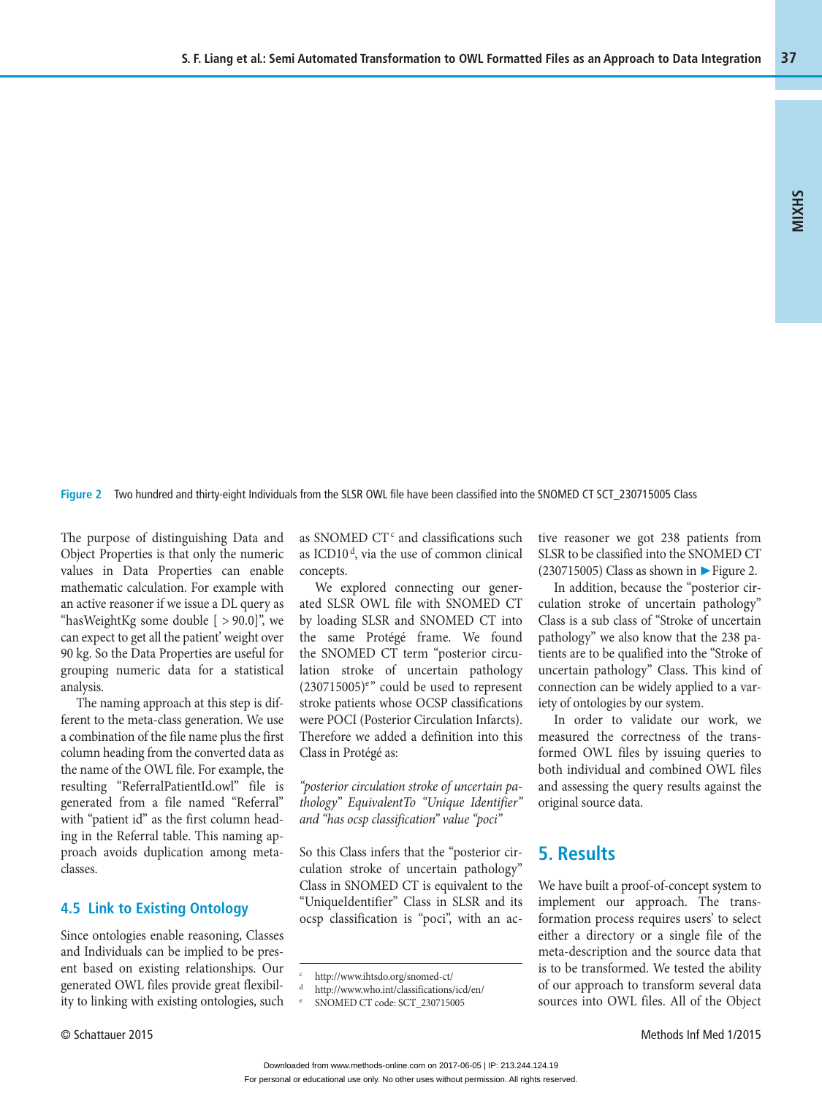**Figure 2** Two hundred and thirty-eight Individuals from the SLSR OWL file have been classified into the SNOMED CT SCT\_230715005 Class

The purpose of distinguishing Data and Object Properties is that only the numeric values in Data Properties can enable mathematic calculation. For example with an active reasoner if we issue a DL query as "hasWeightKg some double  $[ > 90.0]$ ", we can expect to get all the patient' weight over 90 kg. So the Data Properties are useful for grouping numeric data for a statistical analysis.

The naming approach at this step is different to the meta-class generation. We use a combination of the file name plus the first column heading from the converted data as the name of the OWL file. For example, the resulting "ReferralPatientId.owl" file is generated from a file named "Referral" with "patient id" as the first column heading in the Referral table. This naming approach avoids duplication among metaclasses.

#### **4.5 Link to Existing Ontology**

Since ontologies enable reasoning, Classes and Individuals can be implied to be present based on existing relationships. Our generated OWL files provide great flexibility to linking with existing ontologies, such

as SNOMED CT<sup>c</sup> and classifications such as ICD10 $d$ , via the use of common clinical concepts.

We explored connecting our generated SLSR OWL file with SNOMED CT by loading SLSR and SNOMED CT into the same Protégé frame. We found the SNOMED CT term "posterior circulation stroke of uncertain pathology  $(230715005)$ <sup>e</sup>" could be used to represent stroke patients whose OCSP classifications were POCI (Posterior Circulation Infarcts). Therefore we added a definition into this Class in Protégé as:

*"posterior circulation stroke of uncertain pathology" EquivalentTo "Unique Identifier" and "has ocsp classification" value "poci"* 

So this Class infers that the "posterior circulation stroke of uncertain pathology" Class in SNOMED CT is equivalent to the "UniqueIdentifier" Class in SLSR and its ocsp classification is "poci", with an active reasoner we got 238 patients from SLSR to be classified into the SNOMED CT (230715005) Class as shown in  $\blacktriangleright$  Figure 2.

In addition, because the "posterior circulation stroke of uncertain pathology" Class is a sub class of "Stroke of uncertain pathology" we also know that the 238 patients are to be qualified into the "Stroke of uncertain pathology" Class. This kind of connection can be widely applied to a variety of ontologies by our system.

In order to validate our work, we measured the correctness of the transformed OWL files by issuing queries to both individual and combined OWL files and assessing the query results against the original source data.

## **5. Results**

We have built a proof-of-concept system to implement our approach. The transformation process requires users' to select either a directory or a single file of the meta-description and the source data that is to be transformed. We tested the ability of our approach to transform several data sources into OWL files. All of the Object

c http://www.ihtsdo.org/snomed-ct/

http://www.who.int/classifications/icd/en/

e SNOMED CT code: SCT\_230715005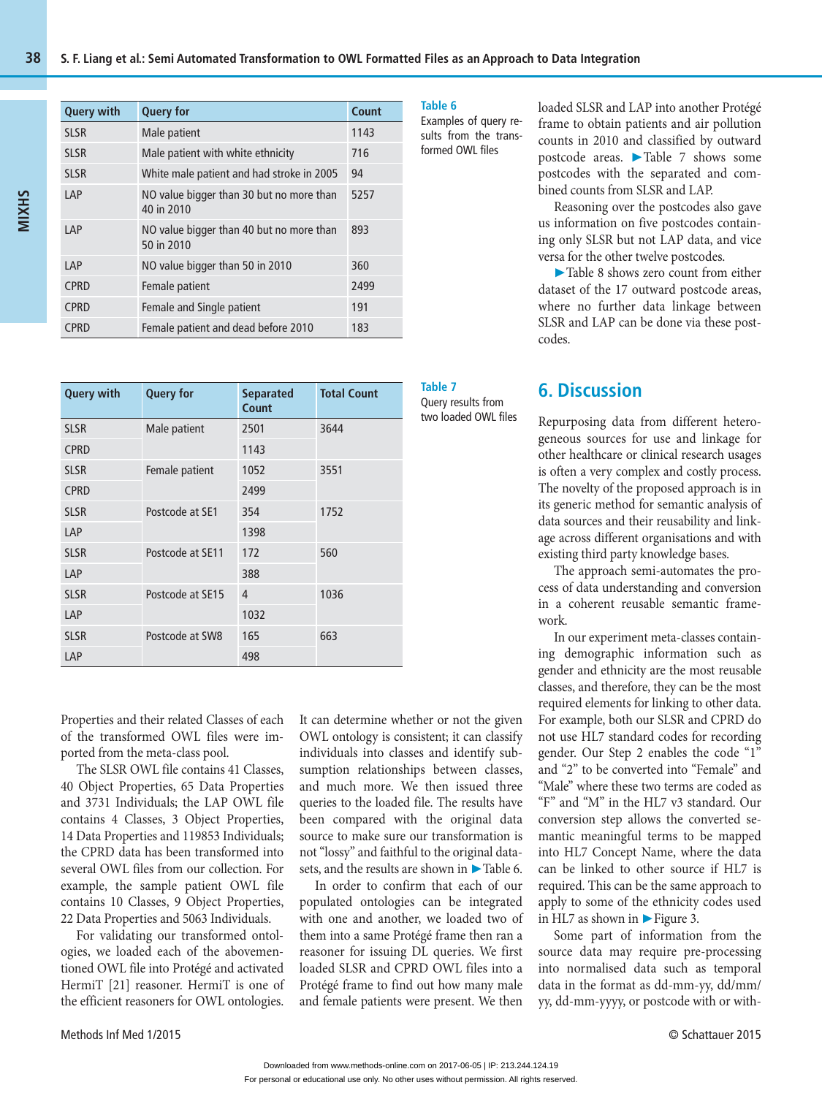| <b>Query with</b> | <b>Query for</b>                                       | Count |
|-------------------|--------------------------------------------------------|-------|
| <b>SLSR</b>       | Male patient                                           | 1143  |
| <b>SLSR</b>       | Male patient with white ethnicity                      | 716   |
| <b>SLSR</b>       | White male patient and had stroke in 2005              | 94    |
| LAP               | NO value bigger than 30 but no more than<br>40 in 2010 | 5257  |
| LAP               | NO value bigger than 40 but no more than<br>50 in 2010 | 893   |
| LAP               | NO value bigger than 50 in 2010                        | 360   |
| <b>CPRD</b>       | Female patient                                         | 2499  |
| <b>CPRD</b>       | Female and Single patient                              | 191   |
| <b>CPRD</b>       | Female patient and dead before 2010                    | 183   |

| <b>Query with</b> | <b>Query for</b> | <b>Separated</b><br>Count | <b>Total Count</b> | Table 7<br>Query results from<br>two loaded OWL files |
|-------------------|------------------|---------------------------|--------------------|-------------------------------------------------------|
| <b>SLSR</b>       | Male patient     | 2501                      | 3644               |                                                       |
| <b>CPRD</b>       |                  | 1143                      |                    |                                                       |
| <b>SLSR</b>       | Female patient   | 1052                      | 3551               |                                                       |
| <b>CPRD</b>       |                  | 2499                      |                    |                                                       |
| <b>SLSR</b>       | Postcode at SE1  | 354                       | 1752               |                                                       |
| LAP               |                  | 1398                      |                    |                                                       |
| <b>SLSR</b>       | Postcode at SE11 | 172                       | 560                |                                                       |
| LAP               |                  | 388                       |                    |                                                       |
| <b>SLSR</b>       | Postcode at SE15 | 4                         | 1036               |                                                       |
| LAP               |                  | 1032                      |                    |                                                       |
| <b>SLSR</b>       | Postcode at SW8  | 165                       | 663                |                                                       |
| LAP               |                  | 498                       |                    |                                                       |

Properties and their related Classes of each of the transformed OWL files were imported from the meta-class pool.

The SLSR OWL file contains 41 Classes, 40 Object Properties, 65 Data Properties and 3731 Individuals; the LAP OWL file contains 4 Classes, 3 Object Properties, 14 Data Properties and 119853 Individuals; the CPRD data has been transformed into several OWL files from our collection. For example, the sample patient OWL file contains 10 Classes, 9 Object Properties, 22 Data Properties and 5063 Individuals.

For validating our transformed ontologies, we loaded each of the abovementioned OWL file into Protégé and activated HermiT [21] reasoner. HermiT is one of the efficient reasoners for OWL ontologies.

It can determine whether or not the given OWL ontology is consistent; it can classify individuals into classes and identify subsumption relationships between classes, and much more. We then issued three queries to the loaded file. The results have been compared with the original data source to make sure our transformation is not "lossy" and faithful to the original datasets, and the results are shown in ► Table 6.

In order to confirm that each of our populated ontologies can be integrated with one and another, we loaded two of them into a same Protégé frame then ran a reasoner for issuing DL queries. We first loaded SLSR and CPRD OWL files into a Protégé frame to find out how many male and female patients were present. We then

**Table 6**  Examples of query re-

sults from the transformed OWL files

loaded SLSR and LAP into another Protégé frame to obtain patients and air pollution counts in 2010 and classified by outward postcode areas. ▶ Table 7 shows some postcodes with the separated and combined counts from SLSR and LAP.

Reasoning over the postcodes also gave us information on five postcodes containing only SLSR but not LAP data, and vice versa for the other twelve postcodes.

▶ Table 8 shows zero count from either dataset of the 17 outward postcode areas, where no further data linkage between SLSR and LAP can be done via these postcodes.

# **6. Discussion**

Repurposing data from different heterogeneous sources for use and linkage for other healthcare or clinical research usages is often a very complex and costly process. The novelty of the proposed approach is in its generic method for semantic analysis of data sources and their reusability and linkage across different organisations and with existing third party knowledge bases.

The approach semi-automates the process of data understanding and conversion in a coherent reusable semantic framework.

In our experiment meta-classes containing demographic information such as gender and ethnicity are the most reusable classes, and therefore, they can be the most required elements for linking to other data. For example, both our SLSR and CPRD do not use HL7 standard codes for recording gender. Our Step 2 enables the code "1" and "2" to be converted into "Female" and "Male" where these two terms are coded as "F" and "M" in the HL7 v3 standard. Our conversion step allows the converted semantic meaningful terms to be mapped into HL7 Concept Name, where the data can be linked to other source if HL7 is required. This can be the same approach to apply to some of the ethnicity codes used in HL7 as shown in ▶ Figure 3.

Some part of information from the source data may require pre-processing into normalised data such as temporal data in the format as dd-mm-yy, dd/mm/ yy, dd-mm-yyyy, or postcode with or with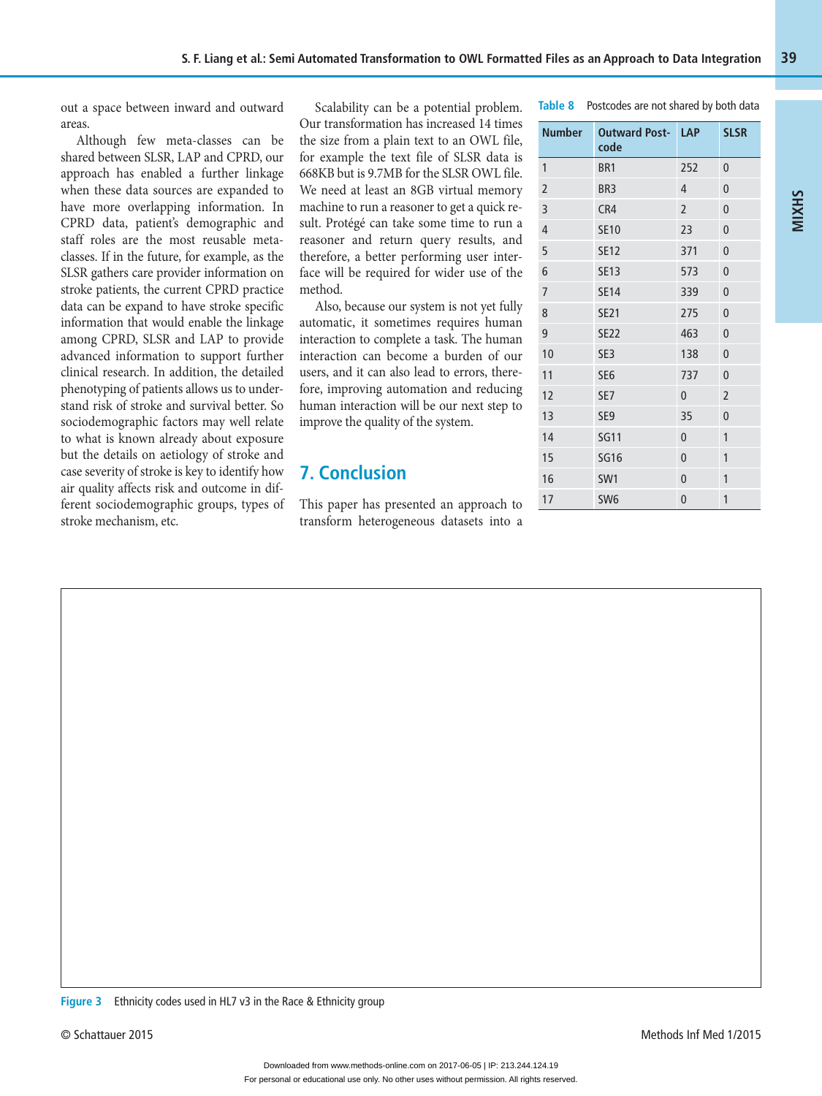out a space between inward and outward areas.

Although few meta-classes can be shared between SLSR, LAP and CPRD, our approach has enabled a further linkage when these data sources are expanded to have more overlapping information. In CPRD data, patient's demographic and staff roles are the most reusable metaclasses. If in the future, for example, as the SLSR gathers care provider information on stroke patients, the current CPRD practice data can be expand to have stroke specific information that would enable the linkage among CPRD, SLSR and LAP to provide advanced information to support further clinical research. In addition, the detailed phenotyping of patients allows us to understand risk of stroke and survival better. So sociodemographic factors may well relate to what is known already about exposure but the details on aetiology of stroke and case severity of stroke is key to identify how air quality affects risk and outcome in different sociodemographic groups, types of stroke mechanism, etc.

Scalability can be a potential problem. Our transformation has increased 14 times the size from a plain text to an OWL file, for example the text file of SLSR data is 668KB but is 9.7MB for the SLSR OWL file. We need at least an 8GB virtual memory machine to run a reasoner to get a quick result. Protégé can take some time to run a reasoner and return query results, and therefore, a better performing user interface will be required for wider use of the method.

Also, because our system is not yet fully automatic, it sometimes requires human interaction to complete a task. The human interaction can become a burden of our users, and it can also lead to errors, therefore, improving automation and reducing human interaction will be our next step to improve the quality of the system.

# **7. Conclusion**

This paper has presented an approach to transform heterogeneous datasets into a

| Table 8 Postcodes are not shared by both data |                                  |               |             |  |  |  |
|-----------------------------------------------|----------------------------------|---------------|-------------|--|--|--|
|                                               | Number Outward Post- LAP<br>code |               | <b>SLSR</b> |  |  |  |
|                                               | BR <sub>1</sub>                  | 252           |             |  |  |  |
| $\overline{2}$                                | BR <sub>3</sub>                  |               | $\Omega$    |  |  |  |
| 3                                             | CR4                              | $\mathcal{L}$ |             |  |  |  |

**MIXHS**

| $\overline{2}$ | BR <sub>3</sub> | $\overline{4}$ | 0              |
|----------------|-----------------|----------------|----------------|
| 3              | CR4             | $\overline{2}$ | $\overline{0}$ |
| $\overline{4}$ | <b>SE10</b>     | 23             | $\overline{0}$ |
| 5              | <b>SE12</b>     | 371            | $\mathbf{0}$   |
| 6              | <b>SE13</b>     | 573            | $\mathbf{0}$   |
| $\overline{7}$ | <b>SE14</b>     | 339            | $\mathbf 0$    |
| 8              | <b>SE21</b>     | 275            | $\overline{0}$ |
| 9              | <b>SE22</b>     | 463            | $\mathbf{0}$   |
| 10             | SE3             | 138            | $\mathbf 0$    |
| 11             | SE <sub>6</sub> | 737            | $\overline{0}$ |
| 12             | SE7             | $\mathbf{0}$   | $\overline{2}$ |
| 13             | SE <sub>9</sub> | 35             | $\mathbf 0$    |
| 14             | <b>SG11</b>     | $\mathbf{0}$   | 1              |
| 15             | <b>SG16</b>     | $\overline{0}$ | 1              |
| 16             | SW1             | $\mathbf{0}$   | 1              |
| 17             | SW <sub>6</sub> | $\overline{0}$ | 1              |

**Figure 3** Ethnicity codes used in HL7 v3 in the Race & Ethnicity group